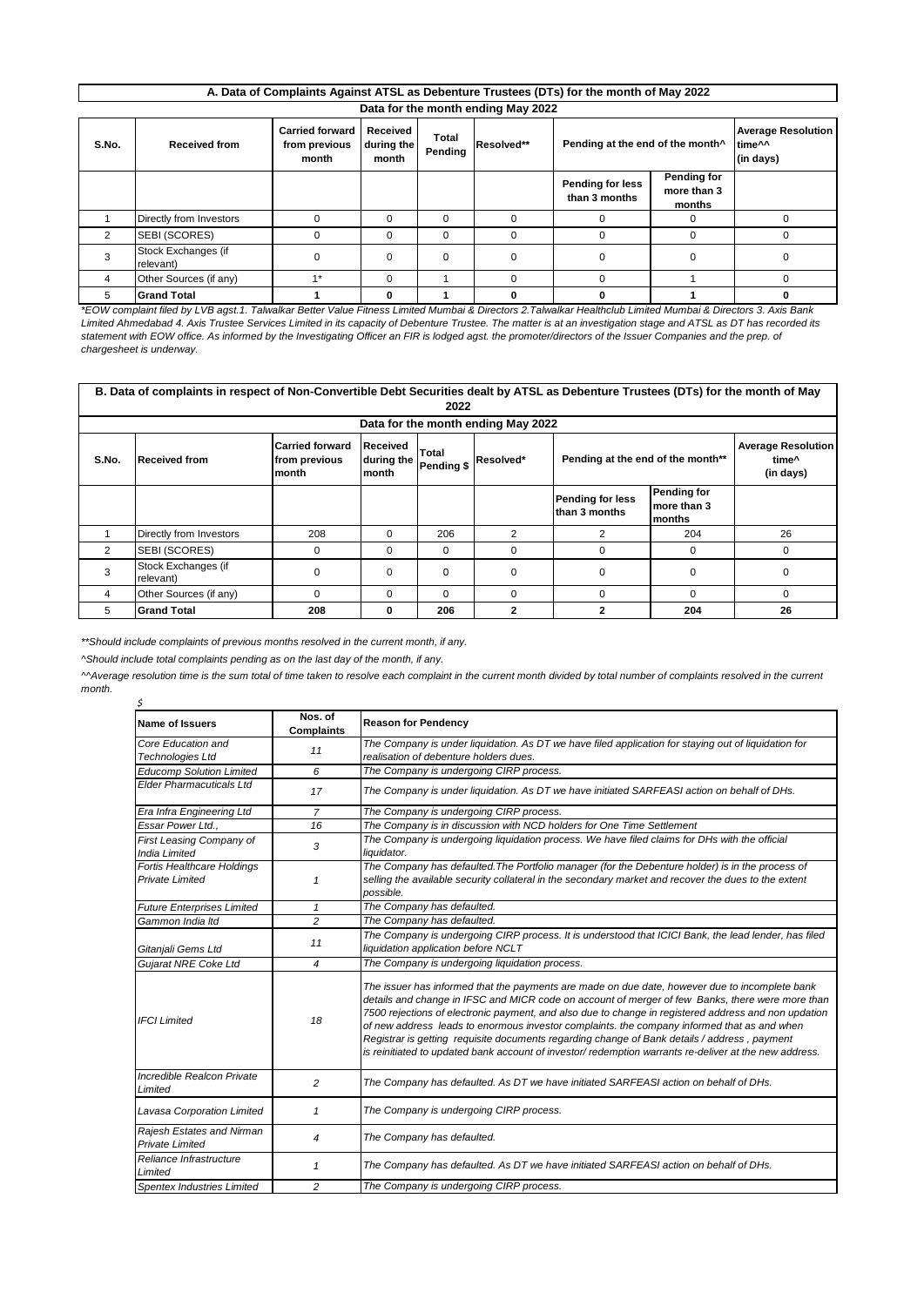| A. Data of Complaints Against ATSL as Debenture Trustees (DTs) for the month of May 2022 |  |
|------------------------------------------------------------------------------------------|--|
| Data for the month ending May 2022                                                       |  |

| S.No. | <b>Received from</b>             | <b>Carried forward</b><br>from previous<br>month | Received<br>during the<br>month | Total<br>Pending | Resolved** | Pending at the end of the month <sup>^</sup> |                                      | <b>Average Resolution</b><br>time^^<br>(in days) |
|-------|----------------------------------|--------------------------------------------------|---------------------------------|------------------|------------|----------------------------------------------|--------------------------------------|--------------------------------------------------|
|       |                                  |                                                  |                                 |                  |            | Pending for less<br>than 3 months            | Pending for<br>more than 3<br>months |                                                  |
|       | Directly from Investors          |                                                  | $\Omega$                        | $\Omega$         |            |                                              | 0                                    |                                                  |
| 2     | SEBI (SCORES)                    |                                                  | $\Omega$                        | 0                |            | $\Omega$                                     | $\Omega$                             | <sup>0</sup>                                     |
|       | Stock Exchanges (if<br>relevant) |                                                  | $\Omega$                        | $\Omega$         |            |                                              |                                      |                                                  |
| 4     | Other Sources (if any)           | $4*$                                             | $\Omega$                        |                  |            |                                              |                                      |                                                  |
| 5     | <b>Grand Total</b>               |                                                  |                                 |                  |            |                                              |                                      |                                                  |

*\*EOW complaint filed by LVB agst.1. Talwalkar Better Value Fitness Limited Mumbai & Directors 2.Talwalkar Healthclub Limited Mumbai & Directors 3. Axis Bank Limited Ahmedabad 4. Axis Trustee Services Limited in its capacity of Debenture Trustee. The matter is at an investigation stage and ATSL as DT has recorded its*  statement with EOW office. As informed by the Investigating Officer an FIR is lodged agst. the promoter/directors of the Issuer Companies and the prep. of *chargesheet is underway.* 

| B. Data of complaints in respect of Non-Convertible Debt Securities dealt by ATSL as Debenture Trustees (DTs) for the month of May<br>2022 |                                  |                                                         |                                 |                     |              |                                   |                                                 |          |
|--------------------------------------------------------------------------------------------------------------------------------------------|----------------------------------|---------------------------------------------------------|---------------------------------|---------------------|--------------|-----------------------------------|-------------------------------------------------|----------|
| Data for the month ending May 2022                                                                                                         |                                  |                                                         |                                 |                     |              |                                   |                                                 |          |
| S.No.                                                                                                                                      | <b>Received from</b>             | <b>Carried forward</b><br>from previous<br><b>month</b> | Received<br>during the<br>month | Total<br>Pending \$ | Resolved*    | Pending at the end of the month** | <b>Average Resolution</b><br>time^<br>(in days) |          |
|                                                                                                                                            |                                  |                                                         |                                 |                     |              | Pending for less<br>than 3 months | Pending for<br>more than 3<br>months            |          |
|                                                                                                                                            | Directly from Investors          | 208                                                     | 0                               | 206                 | 2            | 2                                 | 204                                             | 26       |
| 2                                                                                                                                          | SEBI (SCORES)                    | $\Omega$                                                | 0                               | 0                   | $\Omega$     | $\Omega$                          | 0                                               | $\Omega$ |
| 3                                                                                                                                          | Stock Exchanges (if<br>relevant) | $\Omega$                                                | $\Omega$                        | $\Omega$            | $\Omega$     | $\Omega$                          | $\Omega$                                        | $\Omega$ |
| 4                                                                                                                                          | Other Sources (if any)           | $\Omega$                                                | $\Omega$                        | $\Omega$            | $\Omega$     | $\Omega$                          | $\Omega$                                        | $\Omega$ |
| 5                                                                                                                                          | <b>Grand Total</b>               | 208                                                     | 0                               | 206                 | $\mathbf{2}$ | $\mathbf{2}$                      | 204                                             | 26       |

*\*\*Should include complaints of previous months resolved in the current month, if any.*

*^Should include total complaints pending as on the last day of the month, if any.*

*\$ ^^Average resolution time is the sum total of time taken to resolve each complaint in the current month divided by total number of complaints resolved in the current month.*

| <b>Name of Issuers</b>                                                                  | Nos. of<br><b>Complaints</b> | <b>Reason for Pendency</b>                                                                                                                                                                                                                                                                                                                                                                                                                                                                                                                                                                                          |  |  |  |  |
|-----------------------------------------------------------------------------------------|------------------------------|---------------------------------------------------------------------------------------------------------------------------------------------------------------------------------------------------------------------------------------------------------------------------------------------------------------------------------------------------------------------------------------------------------------------------------------------------------------------------------------------------------------------------------------------------------------------------------------------------------------------|--|--|--|--|
| Core Education and                                                                      |                              | The Company is under liquidation. As DT we have filed application for staying out of liquidation for                                                                                                                                                                                                                                                                                                                                                                                                                                                                                                                |  |  |  |  |
| 11<br><b>Technologies Ltd</b>                                                           |                              | realisation of debenture holders dues.                                                                                                                                                                                                                                                                                                                                                                                                                                                                                                                                                                              |  |  |  |  |
| <b>Educomp Solution Limited</b>                                                         | 6                            | The Company is undergoing CIRP process.                                                                                                                                                                                                                                                                                                                                                                                                                                                                                                                                                                             |  |  |  |  |
| <b>Elder Pharmacuticals Ltd</b>                                                         | 17                           | The Company is under liquidation. As DT we have initiated SARFEASI action on behalf of DHs.                                                                                                                                                                                                                                                                                                                                                                                                                                                                                                                         |  |  |  |  |
| Era Infra Engineering Ltd                                                               | $\overline{7}$               | The Company is undergoing CIRP process.                                                                                                                                                                                                                                                                                                                                                                                                                                                                                                                                                                             |  |  |  |  |
| Essar Power Ltd                                                                         | 16                           | The Company is in discussion with NCD holders for One Time Settlement                                                                                                                                                                                                                                                                                                                                                                                                                                                                                                                                               |  |  |  |  |
| First Leasing Company of<br><b>India Limited</b>                                        | 3                            | The Company is undergoing liguidation process. We have filed claims for DHs with the official<br>liquidator.                                                                                                                                                                                                                                                                                                                                                                                                                                                                                                        |  |  |  |  |
| Fortis Healthcare Holdings<br><b>Private Limited</b>                                    | $\mathbf{1}$                 | The Company has defaulted. The Portfolio manager (for the Debenture holder) is in the process of<br>selling the available security collateral in the secondary market and recover the dues to the extent<br>possible.                                                                                                                                                                                                                                                                                                                                                                                               |  |  |  |  |
| <b>Future Enterprises Limited</b>                                                       | $\mathbf{1}$                 | The Company has defaulted.                                                                                                                                                                                                                                                                                                                                                                                                                                                                                                                                                                                          |  |  |  |  |
| Gammon India Itd                                                                        | $\overline{a}$               | The Company has defaulted.                                                                                                                                                                                                                                                                                                                                                                                                                                                                                                                                                                                          |  |  |  |  |
| 11<br>Gitanjali Gems Ltd                                                                |                              | The Company is undergoing CIRP process. It is understood that ICICI Bank, the lead lender, has filed<br>liquidation application before NCLT                                                                                                                                                                                                                                                                                                                                                                                                                                                                         |  |  |  |  |
| Gujarat NRE Coke Ltd                                                                    | 4                            | The Company is undergoing liquidation process.                                                                                                                                                                                                                                                                                                                                                                                                                                                                                                                                                                      |  |  |  |  |
| <b>IFCI</b> Limited                                                                     | 18                           | The issuer has informed that the payments are made on due date, however due to incomplete bank<br>details and change in IFSC and MICR code on account of merger of few Banks, there were more than<br>7500 rejections of electronic payment, and also due to change in registered address and non updation<br>of new address leads to enormous investor complaints. the company informed that as and when<br>Registrar is getting requisite documents regarding change of Bank details / address, payment<br>is reinitiated to updated bank account of investor/ redemption warrants re-deliver at the new address. |  |  |  |  |
| Incredible Realcon Private<br>Limited                                                   | $\overline{c}$               | The Company has defaulted. As DT we have initiated SARFEASI action on behalf of DHs.                                                                                                                                                                                                                                                                                                                                                                                                                                                                                                                                |  |  |  |  |
| Lavasa Corporation Limited                                                              | 1                            | The Company is undergoing CIRP process.                                                                                                                                                                                                                                                                                                                                                                                                                                                                                                                                                                             |  |  |  |  |
| Rajesh Estates and Nirman<br>The Company has defaulted.<br>4<br>Private Limited         |                              |                                                                                                                                                                                                                                                                                                                                                                                                                                                                                                                                                                                                                     |  |  |  |  |
| Reliance Infrastructure<br>Limited                                                      | 1                            | The Company has defaulted. As DT we have initiated SARFEASI action on behalf of DHs.                                                                                                                                                                                                                                                                                                                                                                                                                                                                                                                                |  |  |  |  |
| The Company is undergoing CIRP process.<br>$\overline{c}$<br>Spentex Industries Limited |                              |                                                                                                                                                                                                                                                                                                                                                                                                                                                                                                                                                                                                                     |  |  |  |  |